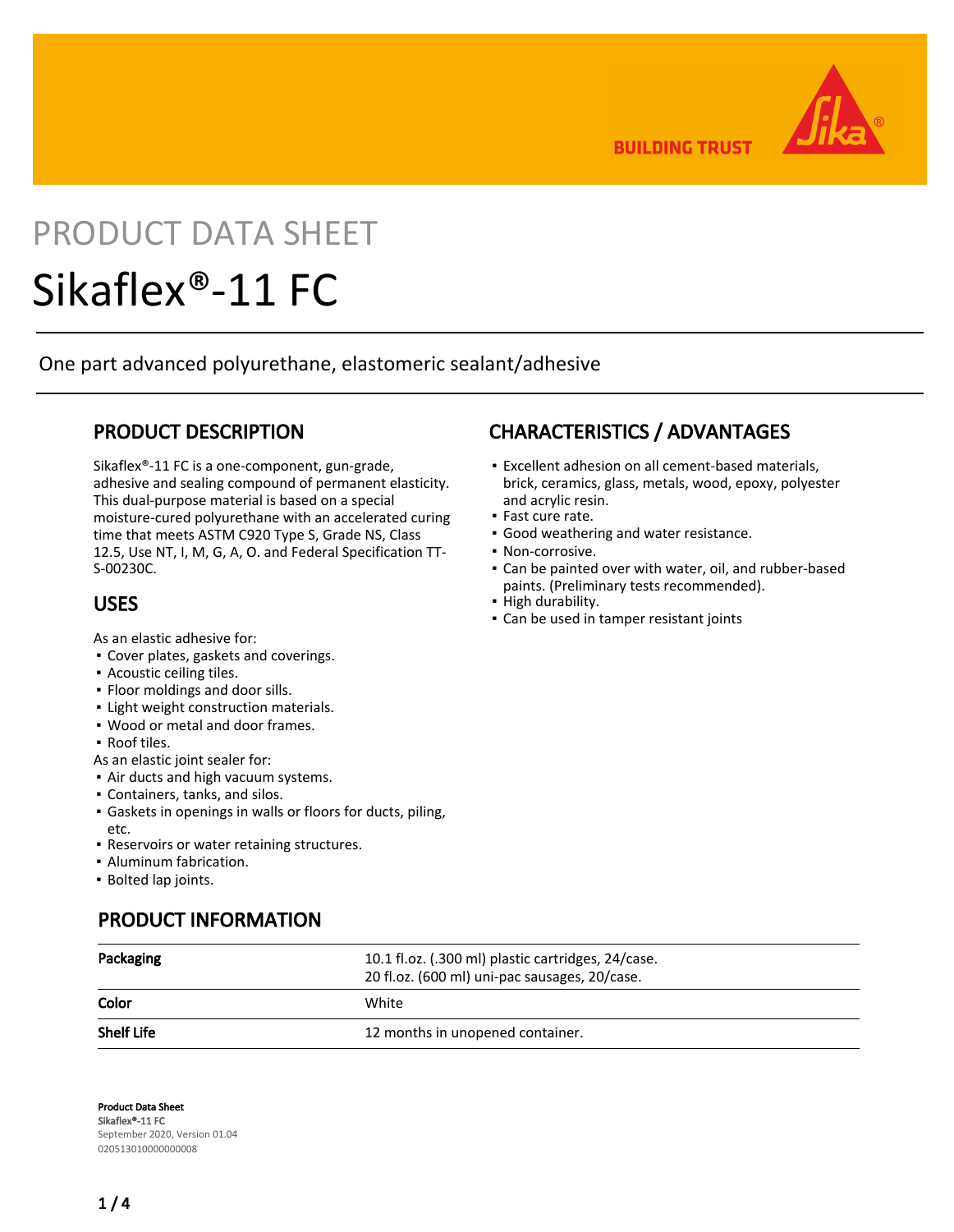**BUILDING TRUST** 

# PRODUCT DATA SHEET

# Sikaflex®-11 FC

One part advanced polyurethane, elastomeric sealant/adhesive

# PRODUCT DESCRIPTION

Sikaflex®-11 FC is a one-component, gun-grade, adhesive and sealing compound of permanent elasticity. This dual-purpose material is based on a special moisture-cured polyurethane with an accelerated curing time that meets ASTM C920 Type S, Grade NS, Class 12.5, Use NT, I, M, G, A, O. and Federal Specification TT-S-00230C.

# USES

As an elastic adhesive for:

- Cover plates, gaskets and coverings.
- Acoustic ceiling tiles.
- Floor moldings and door sills.
- **.** Light weight construction materials.
- Wood or metal and door frames.
- Roof tiles.
- As an elastic joint sealer for:
- **.** Air ducts and high vacuum systems.
- Containers, tanks, and silos.
- Gaskets in openings in walls or floors for ducts, piling, etc.
- Reservoirs or water retaining structures.
- Aluminum fabrication.
- Bolted lap joints.

# PRODUCT INFORMATION

# CHARACTERISTICS / ADVANTAGES

- Excellent adhesion on all cement-based materials, brick, ceramics, glass, metals, wood, epoxy, polyester and acrylic resin.
- Fast cure rate.
- **Good weathering and water resistance.**
- Non-corrosive.
- Can be painted over with water, oil, and rubber-based paints. (Preliminary tests recommended).
- High durability.
- Can be used in tamper resistant joints

| Packaging         | 10.1 fl.oz. (.300 ml) plastic cartridges, 24/case.<br>20 fl.oz. (600 ml) uni-pac sausages, 20/case. |  |  |
|-------------------|-----------------------------------------------------------------------------------------------------|--|--|
| Color             | White                                                                                               |  |  |
| <b>Shelf Life</b> | 12 months in unopened container.                                                                    |  |  |

Product Data Sheet Sikaflex®-11 FC September 2020, Version 01.04 020513010000000008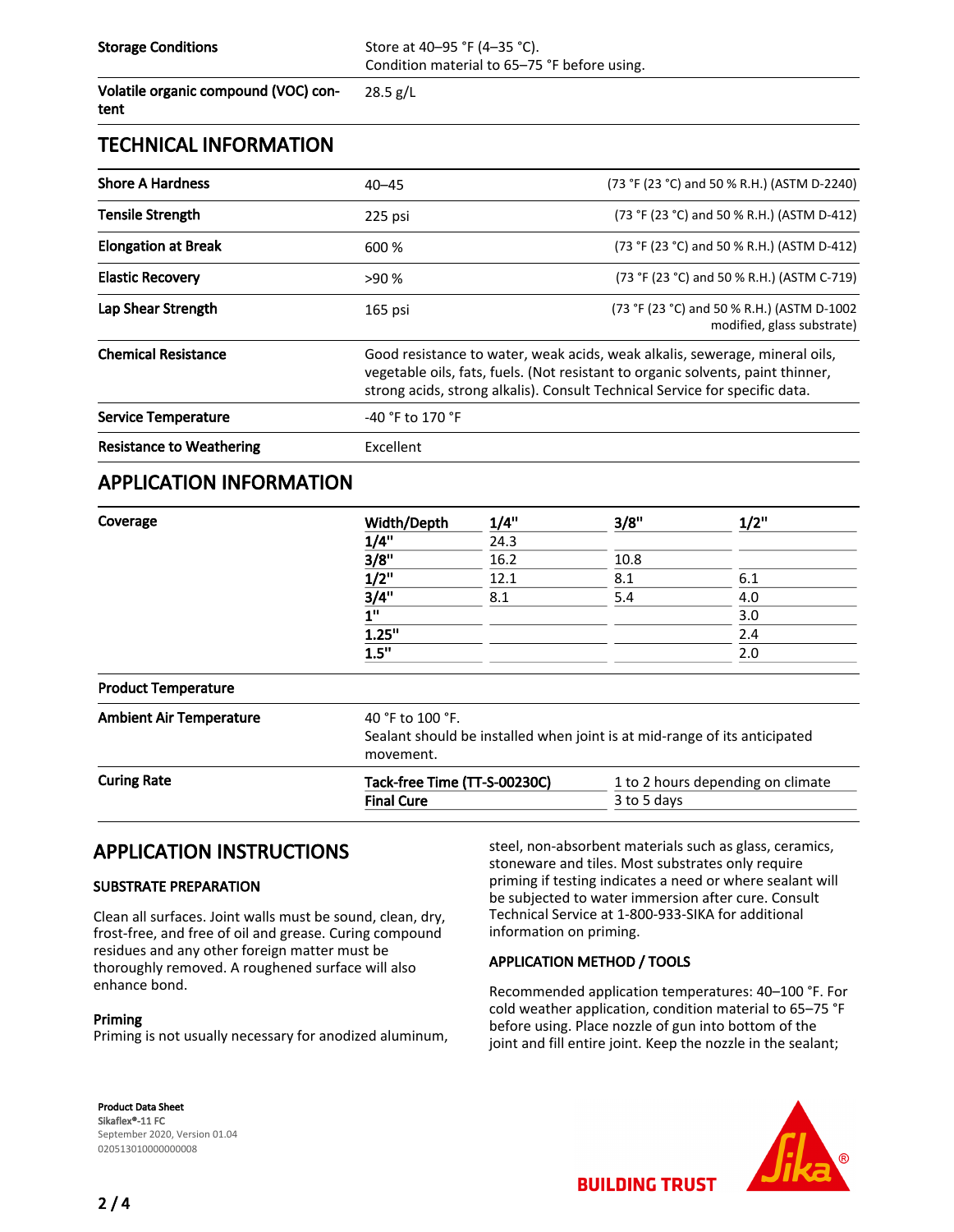Storage Conditions Store at 40–95 °F (4–35 °C). Condition material to 65–75 °F before using.

Volatile organic compound (VOC) content

28.5 g/L

#### TECHNICAL INFORMATION

| <b>Shore A Hardness</b>         | $40 - 45$                                                                                                                                                                                                                                     | (73 °F (23 °C) and 50 % R.H.) (ASTM D-2240)                              |  |  |  |
|---------------------------------|-----------------------------------------------------------------------------------------------------------------------------------------------------------------------------------------------------------------------------------------------|--------------------------------------------------------------------------|--|--|--|
| <b>Tensile Strength</b>         | 225 psi                                                                                                                                                                                                                                       | (73 °F (23 °C) and 50 % R.H.) (ASTM D-412)                               |  |  |  |
| <b>Elongation at Break</b>      | 600 %                                                                                                                                                                                                                                         | (73 °F (23 °C) and 50 % R.H.) (ASTM D-412)                               |  |  |  |
| <b>Elastic Recovery</b>         | >90%                                                                                                                                                                                                                                          | (73 °F (23 °C) and 50 % R.H.) (ASTM C-719)                               |  |  |  |
| Lap Shear Strength              | 165 psi                                                                                                                                                                                                                                       | (73 °F (23 °C) and 50 % R.H.) (ASTM D-1002<br>modified, glass substrate) |  |  |  |
| <b>Chemical Resistance</b>      | Good resistance to water, weak acids, weak alkalis, sewerage, mineral oils,<br>vegetable oils, fats, fuels. (Not resistant to organic solvents, paint thinner,<br>strong acids, strong alkalis). Consult Technical Service for specific data. |                                                                          |  |  |  |
| <b>Service Temperature</b>      | $-40$ °F to 170 °F                                                                                                                                                                                                                            |                                                                          |  |  |  |
| <b>Resistance to Weathering</b> | Excellent                                                                                                                                                                                                                                     |                                                                          |  |  |  |

#### APPLICATION INFORMATION

| Coverage           | Width/Depth<br>1/4"<br>3/8"<br>$1/2$ " | 1/4"<br>24.3<br>16.2<br>12.1                                                                               | 3/8"        | 1/2"<br>6.1                       |      |     |     |     |
|--------------------|----------------------------------------|------------------------------------------------------------------------------------------------------------|-------------|-----------------------------------|------|-----|-----|-----|
|                    |                                        |                                                                                                            | 10.8<br>8.1 |                                   |      |     |     |     |
|                    |                                        |                                                                                                            |             |                                   | 3/4" | 8.1 | 5.4 | 4.0 |
|                    |                                        |                                                                                                            |             |                                   | 1"   |     |     | 3.0 |
|                    | 1.25"                                  |                                                                                                            |             | 2.4                               |      |     |     |     |
|                    | 1.5"                                   |                                                                                                            |             | 2.0                               |      |     |     |     |
|                    | <b>Product Temperature</b>             |                                                                                                            |             |                                   |      |     |     |     |
|                    | <b>Ambient Air Temperature</b>         | 40 °F to 100 °F.<br>Sealant should be installed when joint is at mid-range of its anticipated<br>movement. |             |                                   |      |     |     |     |
| <b>Curing Rate</b> | Tack-free Time (TT-S-00230C)           |                                                                                                            |             | 1 to 2 hours depending on climate |      |     |     |     |
|                    | <b>Final Cure</b>                      |                                                                                                            | 3 to 5 days |                                   |      |     |     |     |

# APPLICATION INSTRUCTIONS

#### SUBSTRATE PREPARATION

Clean all surfaces. Joint walls must be sound, clean, dry, frost-free, and free of oil and grease. Curing compound residues and any other foreign matter must be thoroughly removed. A roughened surface will also enhance bond.

#### Priming

Priming is not usually necessary for anodized aluminum,

steel, non-absorbent materials such as glass, ceramics, stoneware and tiles. Most substrates only require priming if testing indicates a need or where sealant will be subjected to water immersion after cure. Consult Technical Service at 1-800-933-SIKA for additional information on priming.

#### APPLICATION METHOD / TOOLS

Recommended application temperatures: 40–100 °F. For cold weather application, condition material to 65–75 °F before using. Place nozzle of gun into bottom of the joint and fill entire joint. Keep the nozzle in the sealant;

Product Data Sheet Sikaflex®-11 FC September 2020, Version 01.04 020513010000000008



**BUILDING TRUST**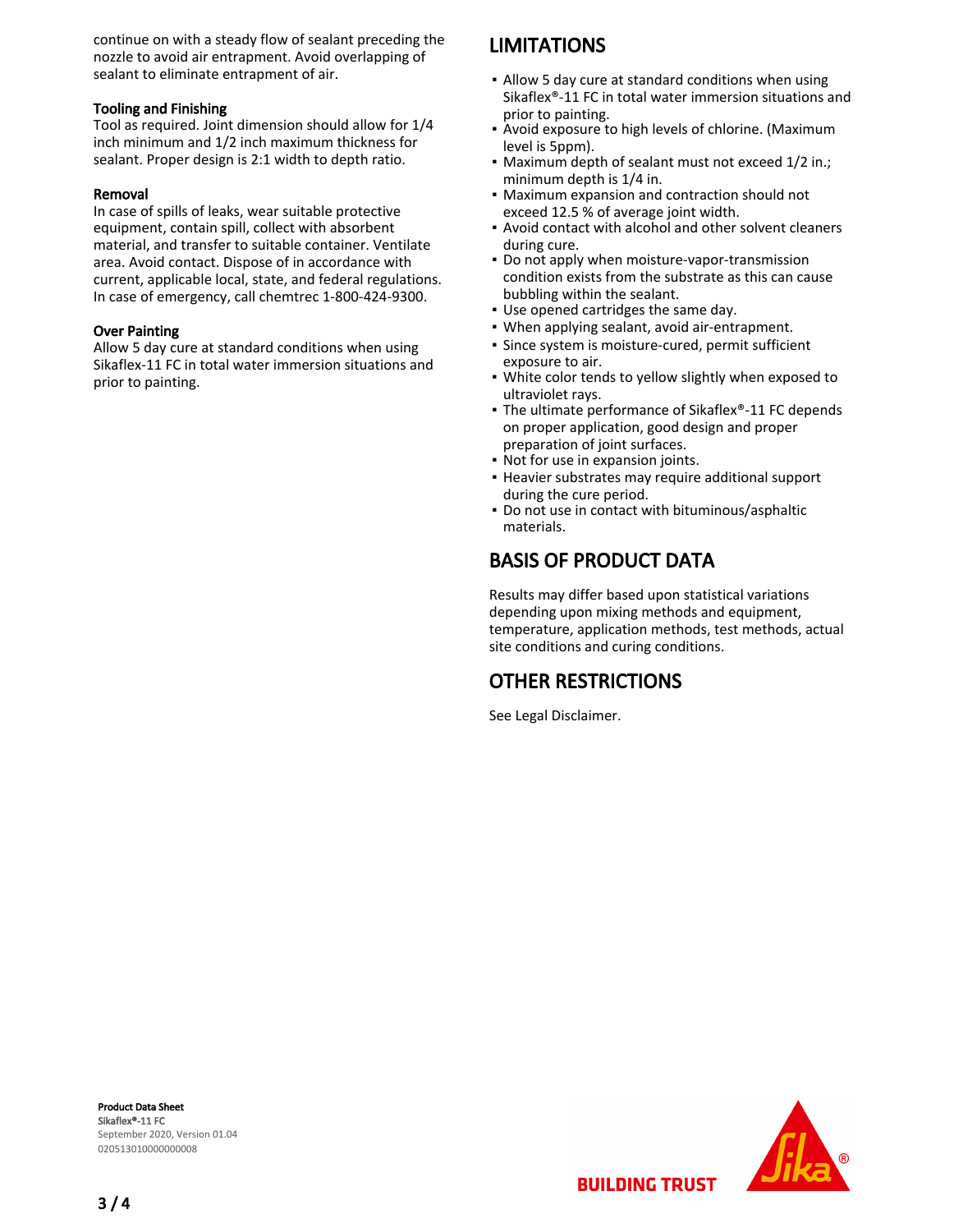continue on with a steady flow of sealant preceding the nozzle to avoid air entrapment. Avoid overlapping of sealant to eliminate entrapment of air.

#### Tooling and Finishing

Tool as required. Joint dimension should allow for 1/4 inch minimum and 1/2 inch maximum thickness for sealant. Proper design is 2:1 width to depth ratio.

#### Removal

In case of spills of leaks, wear suitable protective equipment, contain spill, collect with absorbent material, and transfer to suitable container. Ventilate area. Avoid contact. Dispose of in accordance with current, applicable local, state, and federal regulations. In case of emergency, call chemtrec 1-800-424-9300.

#### Over Painting

Allow 5 day cure at standard conditions when using Sikaflex-11 FC in total water immersion situations and prior to painting.

# **LIMITATIONS**

- Allow 5 day cure at standard conditions when using Sikaflex®-11 FC in total water immersion situations and prior to painting.
- **Avoid exposure to high levels of chlorine. (Maximum** level is 5ppm).
- Maximum depth of sealant must not exceed 1/2 in.; minimum depth is 1/4 in.
- Maximum expansion and contraction should not exceed 12.5 % of average joint width. ▪
- Avoid contact with alcohol and other solvent cleaners during cure.
- Do not apply when moisture-vapor-transmission condition exists from the substrate as this can cause bubbling within the sealant.
- Use opened cartridges the same day.
- When applying sealant, avoid air-entrapment.
- **·** Since system is moisture-cured, permit sufficient exposure to air.
- White color tends to yellow slightly when exposed to ultraviolet rays.
- The ultimate performance of Sikaflex®-11 FC depends on proper application, good design and proper preparation of joint surfaces.
- Not for use in expansion joints.
- **Heavier substrates may require additional support** during the cure period.
- Do not use in contact with bituminous/asphaltic materials.

# BASIS OF PRODUCT DATA

Results may differ based upon statistical variations depending upon mixing methods and equipment, temperature, application methods, test methods, actual site conditions and curing conditions.

# OTHER RESTRICTIONS

See Legal Disclaimer.

Product Data Sheet Sikaflex®-11 FC September 2020, Version 01.04 020513010000000008